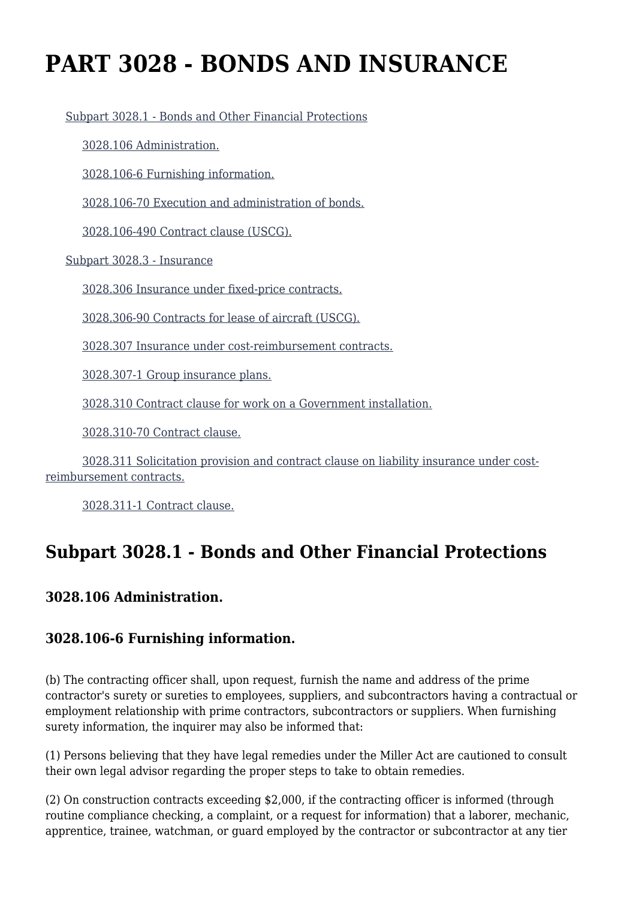# **PART 3028 - BONDS AND INSURANCE**

[Subpart 3028.1 - Bonds and Other Financial Protections](https://origin-www.acquisition.gov/%5Brp:link:hsar-part-3028%5D#Subpart_3028_1_T48_70211281)

[3028.106 Administration.](https://origin-www.acquisition.gov/%5Brp:link:hsar-part-3028%5D#Section_3028_106_T48_7021128111)

[3028.106-6 Furnishing information.](https://origin-www.acquisition.gov/%5Brp:link:hsar-part-3028%5D#Section_3028_106_6_T48_7021128112)

[3028.106-70 Execution and administration of bonds.](https://origin-www.acquisition.gov/%5Brp:link:hsar-part-3028%5D#Section_3028_106_70_T48_7021128113)

[3028.106-490 Contract clause \(USCG\).](https://origin-www.acquisition.gov/%5Brp:link:hsar-part-3028%5D#Section_3028_106_490_T48_7021128114)

[Subpart 3028.3 - Insurance](https://origin-www.acquisition.gov/%5Brp:link:hsar-part-3028%5D#Subpart_3028_3_T48_70211282)

[3028.306 Insurance under fixed-price contracts.](https://origin-www.acquisition.gov/%5Brp:link:hsar-part-3028%5D#Section_3028_306_T48_7021128211)

[3028.306-90 Contracts for lease of aircraft \(USCG\).](https://origin-www.acquisition.gov/%5Brp:link:hsar-part-3028%5D#Section_3028_306_90_T48_7021128212)

[3028.307 Insurance under cost-reimbursement contracts.](https://origin-www.acquisition.gov/%5Brp:link:hsar-part-3028%5D#Section_3028_307_T48_7021128213)

[3028.307-1 Group insurance plans.](https://origin-www.acquisition.gov/%5Brp:link:hsar-part-3028%5D#Section_3028_307_1_T48_7021128214)

[3028.310 Contract clause for work on a Government installation.](https://origin-www.acquisition.gov/%5Brp:link:hsar-part-3028%5D#Section_3028_310_T48_7021128215)

[3028.310-70 Contract clause.](https://origin-www.acquisition.gov/%5Brp:link:hsar-part-3028%5D#Section_3028_310_70_T48_7021128216)

 [3028.311 Solicitation provision and contract clause on liability insurance under cost](https://origin-www.acquisition.gov/%5Brp:link:hsar-part-3028%5D#Section_3028_311_T48_7021128217)[reimbursement contracts.](https://origin-www.acquisition.gov/%5Brp:link:hsar-part-3028%5D#Section_3028_311_T48_7021128217)

[3028.311-1 Contract clause.](https://origin-www.acquisition.gov/%5Brp:link:hsar-part-3028%5D#Section_3028_311_1_T48_7021128218)

# **Subpart 3028.1 - Bonds and Other Financial Protections**

#### **3028.106 Administration.**

#### **3028.106-6 Furnishing information.**

(b) The contracting officer shall, upon request, furnish the name and address of the prime contractor's surety or sureties to employees, suppliers, and subcontractors having a contractual or employment relationship with prime contractors, subcontractors or suppliers. When furnishing surety information, the inquirer may also be informed that:

(1) Persons believing that they have legal remedies under the Miller Act are cautioned to consult their own legal advisor regarding the proper steps to take to obtain remedies.

(2) On construction contracts exceeding \$2,000, if the contracting officer is informed (through routine compliance checking, a complaint, or a request for information) that a laborer, mechanic, apprentice, trainee, watchman, or guard employed by the contractor or subcontractor at any tier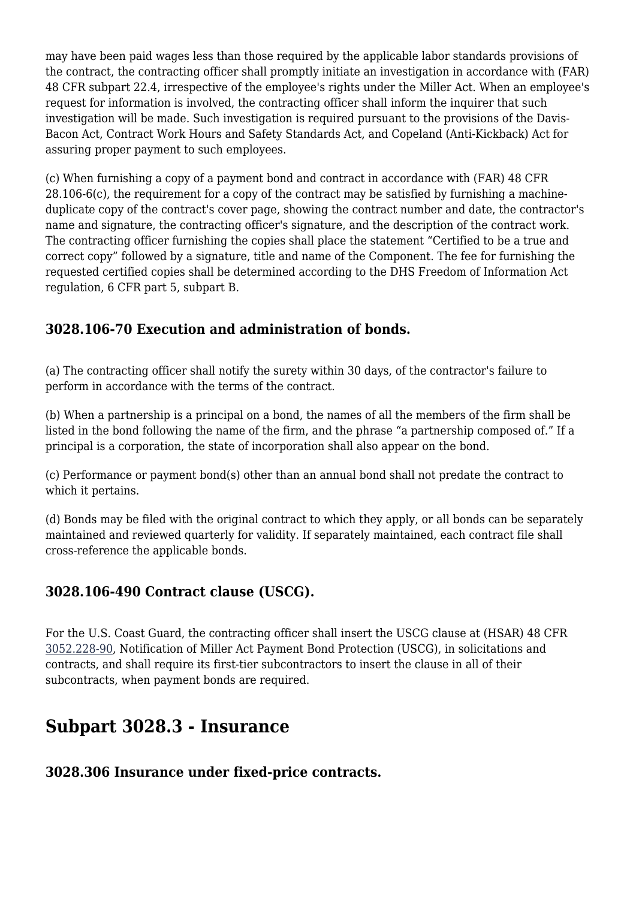may have been paid wages less than those required by the applicable labor standards provisions of the contract, the contracting officer shall promptly initiate an investigation in accordance with (FAR) 48 CFR subpart 22.4, irrespective of the employee's rights under the Miller Act. When an employee's request for information is involved, the contracting officer shall inform the inquirer that such investigation will be made. Such investigation is required pursuant to the provisions of the Davis-Bacon Act, Contract Work Hours and Safety Standards Act, and Copeland (Anti-Kickback) Act for assuring proper payment to such employees.

(c) When furnishing a copy of a payment bond and contract in accordance with (FAR) 48 CFR 28.106-6(c), the requirement for a copy of the contract may be satisfied by furnishing a machineduplicate copy of the contract's cover page, showing the contract number and date, the contractor's name and signature, the contracting officer's signature, and the description of the contract work. The contracting officer furnishing the copies shall place the statement "Certified to be a true and correct copy" followed by a signature, title and name of the Component. The fee for furnishing the requested certified copies shall be determined according to the DHS Freedom of Information Act regulation, 6 CFR part 5, subpart B.

## **3028.106-70 Execution and administration of bonds.**

(a) The contracting officer shall notify the surety within 30 days, of the contractor's failure to perform in accordance with the terms of the contract.

(b) When a partnership is a principal on a bond, the names of all the members of the firm shall be listed in the bond following the name of the firm, and the phrase "a partnership composed of." If a principal is a corporation, the state of incorporation shall also appear on the bond.

(c) Performance or payment bond(s) other than an annual bond shall not predate the contract to which it pertains.

(d) Bonds may be filed with the original contract to which they apply, or all bonds can be separately maintained and reviewed quarterly for validity. If separately maintained, each contract file shall cross-reference the applicable bonds.

#### **3028.106-490 Contract clause (USCG).**

For the U.S. Coast Guard, the contracting officer shall insert the USCG clause at (HSAR) 48 CFR [3052.228-90,](https://origin-www.acquisition.gov/%5Brp:link:hsar-part-3052%5D#Section_3052_228_90_T48_70215512140) Notification of Miller Act Payment Bond Protection (USCG), in solicitations and contracts, and shall require its first-tier subcontractors to insert the clause in all of their subcontracts, when payment bonds are required.

# **Subpart 3028.3 - Insurance**

#### **3028.306 Insurance under fixed-price contracts.**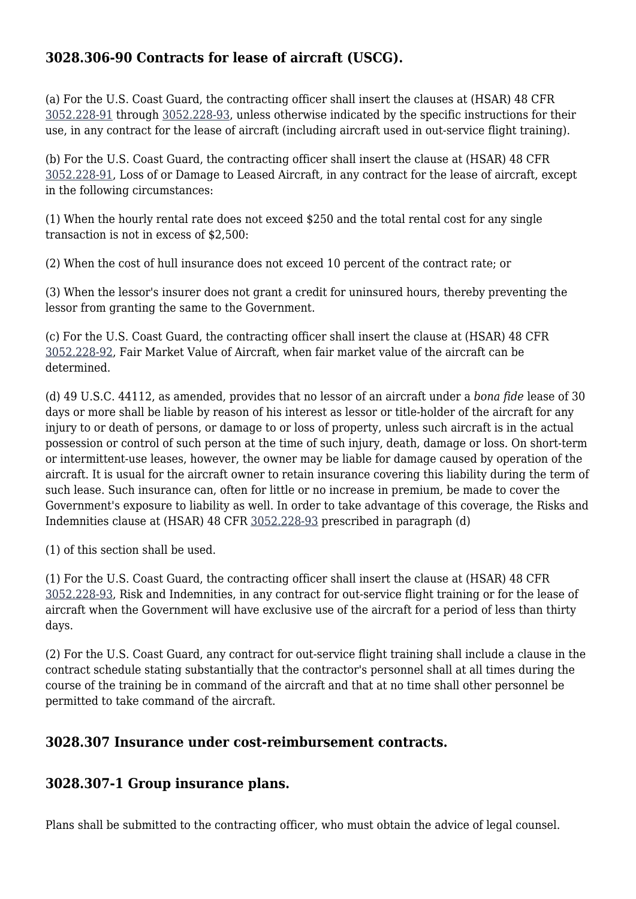## **3028.306-90 Contracts for lease of aircraft (USCG).**

(a) For the U.S. Coast Guard, the contracting officer shall insert the clauses at (HSAR) 48 CFR [3052.228-91](https://origin-www.acquisition.gov/%5Brp:link:hsar-part-3052%5D#Section_3052_228_91_T48_70215512141) through [3052.228-93](https://origin-www.acquisition.gov/%5Brp:link:hsar-part-3052%5D#Section_3052_228_93_T48_70215512143), unless otherwise indicated by the specific instructions for their use, in any contract for the lease of aircraft (including aircraft used in out-service flight training).

(b) For the U.S. Coast Guard, the contracting officer shall insert the clause at (HSAR) 48 CFR [3052.228-91,](https://origin-www.acquisition.gov/%5Brp:link:hsar-part-3052%5D#Section_3052_228_91_T48_70215512141) Loss of or Damage to Leased Aircraft, in any contract for the lease of aircraft, except in the following circumstances:

(1) When the hourly rental rate does not exceed \$250 and the total rental cost for any single transaction is not in excess of \$2,500:

(2) When the cost of hull insurance does not exceed 10 percent of the contract rate; or

(3) When the lessor's insurer does not grant a credit for uninsured hours, thereby preventing the lessor from granting the same to the Government.

(c) For the U.S. Coast Guard, the contracting officer shall insert the clause at (HSAR) 48 CFR [3052.228-92,](https://origin-www.acquisition.gov/%5Brp:link:hsar-part-3052%5D#Section_3052_228_92_T48_70215512142) Fair Market Value of Aircraft, when fair market value of the aircraft can be determined.

(d) 49 U.S.C. 44112, as amended, provides that no lessor of an aircraft under a *bona fide* lease of 30 days or more shall be liable by reason of his interest as lessor or title-holder of the aircraft for any injury to or death of persons, or damage to or loss of property, unless such aircraft is in the actual possession or control of such person at the time of such injury, death, damage or loss. On short-term or intermittent-use leases, however, the owner may be liable for damage caused by operation of the aircraft. It is usual for the aircraft owner to retain insurance covering this liability during the term of such lease. Such insurance can, often for little or no increase in premium, be made to cover the Government's exposure to liability as well. In order to take advantage of this coverage, the Risks and Indemnities clause at (HSAR) 48 CFR [3052.228-93](https://origin-www.acquisition.gov/%5Brp:link:hsar-part-3052%5D#Section_3052_228_93_T48_70215512143) prescribed in paragraph (d)

(1) of this section shall be used.

(1) For the U.S. Coast Guard, the contracting officer shall insert the clause at (HSAR) 48 CFR [3052.228-93,](https://origin-www.acquisition.gov/%5Brp:link:hsar-part-3052%5D#Section_3052_228_93_T48_70215512143) Risk and Indemnities, in any contract for out-service flight training or for the lease of aircraft when the Government will have exclusive use of the aircraft for a period of less than thirty days.

(2) For the U.S. Coast Guard, any contract for out-service flight training shall include a clause in the contract schedule stating substantially that the contractor's personnel shall at all times during the course of the training be in command of the aircraft and that at no time shall other personnel be permitted to take command of the aircraft.

#### **3028.307 Insurance under cost-reimbursement contracts.**

#### **3028.307-1 Group insurance plans.**

Plans shall be submitted to the contracting officer, who must obtain the advice of legal counsel.